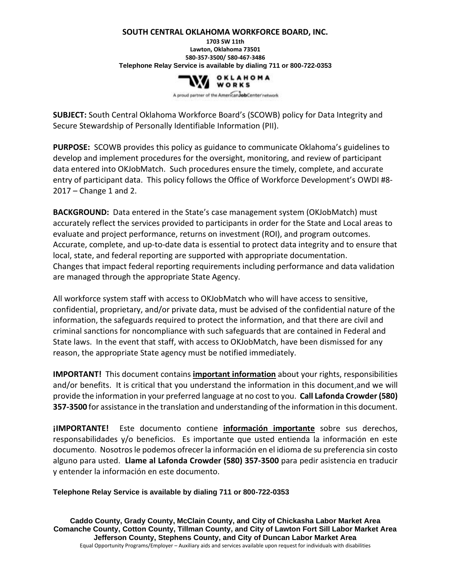#### **SOUTH CENTRAL OKLAHOMA WORKFORCE BOARD, INC.**

**1703 SW 11th Lawton, Oklahoma 73501 580-357-3500/ 580-467-3486 Telephone Relay Service is available by dialing 711 or 800-722-0353**



A proud partner of the American Job Center network

**SUBJECT:** South Central Oklahoma Workforce Board's (SCOWB) policy for Data Integrity and Secure Stewardship of Personally Identifiable Information (PII).

**PURPOSE:** SCOWB provides this policy as guidance to communicate Oklahoma's guidelines to develop and implement procedures for the oversight, monitoring, and review of participant data entered into OKJobMatch. Such procedures ensure the timely, complete, and accurate entry of participant data. This policy follows the Office of Workforce Development's OWDI #8- 2017 – Change 1 and 2.

**BACKGROUND:** Data entered in the State's case management system (OKJobMatch) must accurately reflect the services provided to participants in order for the State and Local areas to evaluate and project performance, returns on investment (ROI), and program outcomes. Accurate, complete, and up-to-date data is essential to protect data integrity and to ensure that local, state, and federal reporting are supported with appropriate documentation. Changes that impact federal reporting requirements including performance and data validation are managed through the appropriate State Agency.

All workforce system staff with access to OKJobMatch who will have access to sensitive, confidential, proprietary, and/or private data, must be advised of the confidential nature of the information, the safeguards required to protect the information, and that there are civil and criminal sanctions for noncompliance with such safeguards that are contained in Federal and State laws. In the event that staff, with access to OKJobMatch, have been dismissed for any reason, the appropriate State agency must be notified immediately.

**IMPORTANT!** This document contains **important information** about your rights, responsibilities and/or benefits. It is critical that you understand the information in this document,and we will provide the information in your preferred language at no cost to you. **Call Lafonda Crowder (580) 357-3500** for assistance in the translation and understanding of the information in this document.

**¡IMPORTANTE!** Este documento contiene **información importante** sobre sus derechos, responsabilidades y/o beneficios. Es importante que usted entienda la información en este documento. Nosotros le podemos ofrecer la información en el idioma de su preferencia sin costo alguno para usted. **Llame al Lafonda Crowder (580) 357-3500** para pedir asistencia en traducir y entender la información en este documento.

**Telephone Relay Service is available by dialing 711 or 800-722-0353**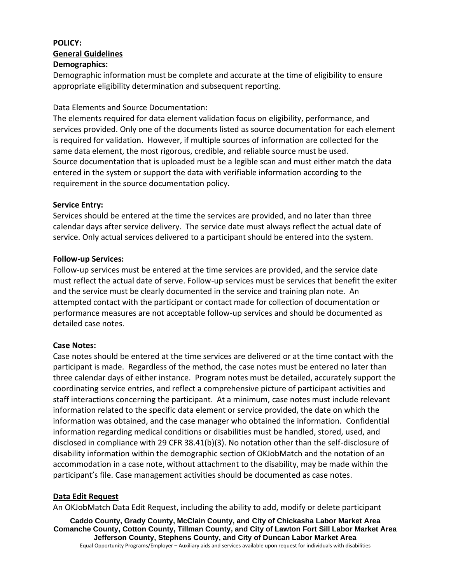#### **POLICY: General Guidelines Demographics:**

Demographic information must be complete and accurate at the time of eligibility to ensure appropriate eligibility determination and subsequent reporting.

### Data Elements and Source Documentation:

The elements required for data element validation focus on eligibility, performance, and services provided. Only one of the documents listed as source documentation for each element is required for validation. However, if multiple sources of information are collected for the same data element, the most rigorous, credible, and reliable source must be used. Source documentation that is uploaded must be a legible scan and must either match the data entered in the system or support the data with verifiable information according to the requirement in the source documentation policy.

#### **Service Entry:**

Services should be entered at the time the services are provided, and no later than three calendar days after service delivery. The service date must always reflect the actual date of service. Only actual services delivered to a participant should be entered into the system.

#### **Follow-up Services:**

Follow-up services must be entered at the time services are provided, and the service date must reflect the actual date of serve. Follow-up services must be services that benefit the exiter and the service must be clearly documented in the service and training plan note. An attempted contact with the participant or contact made for collection of documentation or performance measures are not acceptable follow-up services and should be documented as detailed case notes.

#### **Case Notes:**

Case notes should be entered at the time services are delivered or at the time contact with the participant is made. Regardless of the method, the case notes must be entered no later than three calendar days of either instance. Program notes must be detailed, accurately support the coordinating service entries, and reflect a comprehensive picture of participant activities and staff interactions concerning the participant. At a minimum, case notes must include relevant information related to the specific data element or service provided, the date on which the information was obtained, and the case manager who obtained the information. Confidential information regarding medical conditions or disabilities must be handled, stored, used, and disclosed in compliance with 29 CFR 38.41(b)(3). No notation other than the self-disclosure of disability information within the demographic section of OKJobMatch and the notation of an accommodation in a case note, without attachment to the disability, may be made within the participant's file. Case management activities should be documented as case notes.

#### **Data Edit Request**

An OKJobMatch Data Edit Request, including the ability to add, modify or delete participant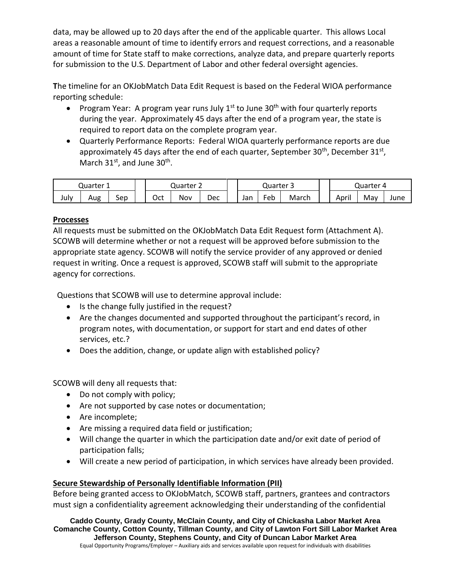data, may be allowed up to 20 days after the end of the applicable quarter. This allows Local areas a reasonable amount of time to identify errors and request corrections, and a reasonable amount of time for State staff to make corrections, analyze data, and prepare quarterly reports for submission to the U.S. Department of Labor and other federal oversight agencies.

**T**he timeline for an OKJobMatch Data Edit Request is based on the Federal WIOA performance reporting schedule:

- Program Year: A program year runs July  $1^{st}$  to June  $30^{th}$  with four quarterly reports during the year. Approximately 45 days after the end of a program year, the state is required to report data on the complete program year.
- Quarterly Performance Reports: Federal WIOA quarterly performance reports are due approximately 45 days after the end of each quarter, September 30<sup>th</sup>, December 31<sup>st</sup>, March  $31<sup>st</sup>$ , and June  $30<sup>th</sup>$ .

| Quarter 1 |     |     | Quarter 2 |     |     | Quarter 3 |                                 |       | Quarter<br>$\Delta$ |     |      |  |
|-----------|-----|-----|-----------|-----|-----|-----------|---------------------------------|-------|---------------------|-----|------|--|
| July      | Aug | Sep | Oct       | Nov | Dec | Jan       | $\overline{\phantom{0}}$<br>Feb | March | April               | Mav | June |  |

#### **Processes**

All requests must be submitted on the OKJobMatch Data Edit Request form (Attachment A). SCOWB will determine whether or not a request will be approved before submission to the appropriate state agency. SCOWB will notify the service provider of any approved or denied request in writing. Once a request is approved, SCOWB staff will submit to the appropriate agency for corrections.

Questions that SCOWB will use to determine approval include:

- Is the change fully justified in the request?
- Are the changes documented and supported throughout the participant's record, in program notes, with documentation, or support for start and end dates of other services, etc.?
- Does the addition, change, or update align with established policy?

SCOWB will deny all requests that:

- Do not comply with policy;
- Are not supported by case notes or documentation;
- Are incomplete;
- Are missing a required data field or justification;
- Will change the quarter in which the participation date and/or exit date of period of participation falls;
- Will create a new period of participation, in which services have already been provided.

#### **Secure Stewardship of Personally Identifiable Information (PII)**

Before being granted access to OKJobMatch, SCOWB staff, partners, grantees and contractors must sign a confidentiality agreement acknowledging their understanding of the confidential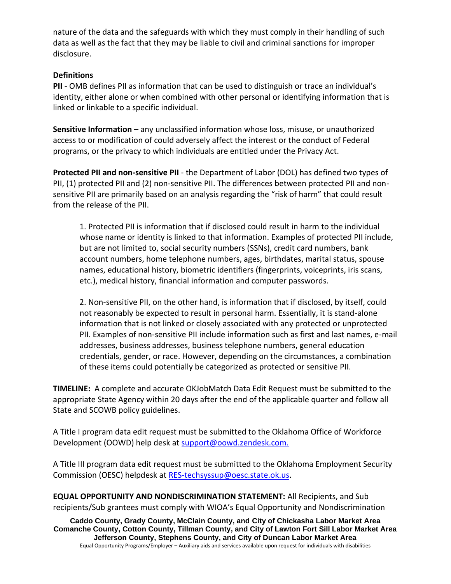nature of the data and the safeguards with which they must comply in their handling of such data as well as the fact that they may be liable to civil and criminal sanctions for improper disclosure.

#### **Definitions**

**PII** - OMB defines PII as information that can be used to distinguish or trace an individual's identity, either alone or when combined with other personal or identifying information that is linked or linkable to a specific individual.

**Sensitive Information** – any unclassified information whose loss, misuse, or unauthorized access to or modification of could adversely affect the interest or the conduct of Federal programs, or the privacy to which individuals are entitled under the Privacy Act.

**Protected PII and non-sensitive PII** - the Department of Labor (DOL) has defined two types of PII, (1) protected PII and (2) non-sensitive PII. The differences between protected PII and nonsensitive PII are primarily based on an analysis regarding the "risk of harm" that could result from the release of the PII.

1. Protected PII is information that if disclosed could result in harm to the individual whose name or identity is linked to that information. Examples of protected PII include, but are not limited to, social security numbers (SSNs), credit card numbers, bank account numbers, home telephone numbers, ages, birthdates, marital status, spouse names, educational history, biometric identifiers (fingerprints, voiceprints, iris scans, etc.), medical history, financial information and computer passwords.

2. Non-sensitive PII, on the other hand, is information that if disclosed, by itself, could not reasonably be expected to result in personal harm. Essentially, it is stand-alone information that is not linked or closely associated with any protected or unprotected PII. Examples of non-sensitive PII include information such as first and last names, e-mail addresses, business addresses, business telephone numbers, general education credentials, gender, or race. However, depending on the circumstances, a combination of these items could potentially be categorized as protected or sensitive PII.

**TIMELINE:** A complete and accurate OKJobMatch Data Edit Request must be submitted to the appropriate State Agency within 20 days after the end of the applicable quarter and follow all State and SCOWB policy guidelines.

A Title I program data edit request must be submitted to the Oklahoma Office of Workforce Development (OOWD) help desk at [support@oowd.zendesk.com.](mailto:support@oowd.zendesk.com)

A Title III program data edit request must be submitted to the Oklahoma Employment Security Commission (OESC) helpdesk at [RES-techsyssup@oesc.state.ok.us.](mailto:RES-techsyssup@oesc.state.ok.us)

**EQUAL OPPORTUNITY AND NONDISCRIMINATION STATEMENT:** All Recipients, and Sub recipients/Sub grantees must comply with WIOA's Equal Opportunity and Nondiscrimination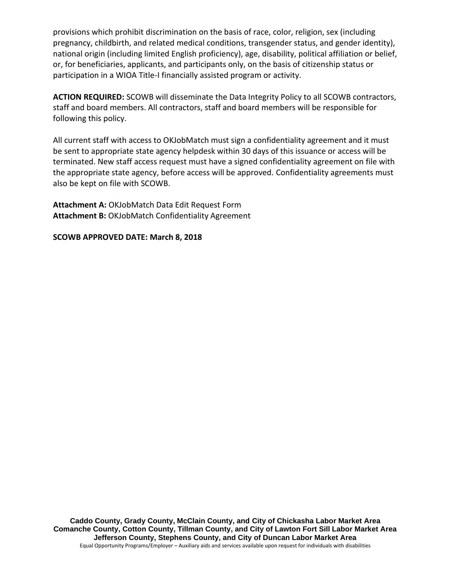provisions which prohibit discrimination on the basis of race, color, religion, sex (including pregnancy, childbirth, and related medical conditions, transgender status, and gender identity), national origin (including limited English proficiency), age, disability, political affiliation or belief, or, for beneficiaries, applicants, and participants only, on the basis of citizenship status or participation in a WIOA Title-I financially assisted program or activity.

**ACTION REQUIRED:** SCOWB will disseminate the Data Integrity Policy to all SCOWB contractors, staff and board members. All contractors, staff and board members will be responsible for following this policy.

All current staff with access to OKJobMatch must sign a confidentiality agreement and it must be sent to appropriate state agency helpdesk within 30 days of this issuance or access will be terminated. New staff access request must have a signed confidentiality agreement on file with the appropriate state agency, before access will be approved. Confidentiality agreements must also be kept on file with SCOWB.

**Attachment A:** OKJobMatch Data Edit Request Form **Attachment B:** OKJobMatch Confidentiality Agreement

**SCOWB APPROVED DATE: March 8, 2018**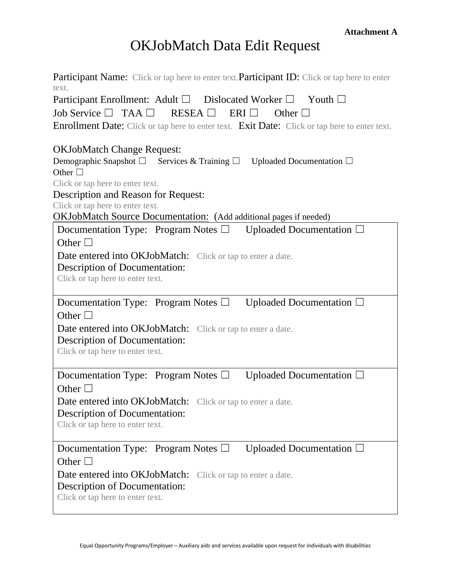# OKJobMatch Data Edit Request

| <b>Participant Name:</b> Click or tap here to enter text. <b>Participant ID:</b> Click or tap here to enter<br>text. |  |  |  |  |  |  |  |  |  |
|----------------------------------------------------------------------------------------------------------------------|--|--|--|--|--|--|--|--|--|
| Participant Enrollment: Adult $\square$ Dislocated Worker $\square$ Youth $\square$                                  |  |  |  |  |  |  |  |  |  |
| Job Service $\Box$ TAA $\Box$ RESEA $\Box$<br>$ERI$ $\square$<br>Other $\Box$                                        |  |  |  |  |  |  |  |  |  |
| <b>Enrollment Date:</b> Click or tap here to enter text. Exit Date: Click or tap here to enter text.                 |  |  |  |  |  |  |  |  |  |
| <b>OKJobMatch Change Request:</b>                                                                                    |  |  |  |  |  |  |  |  |  |
| Demographic Snapshot $\square$ Services & Training $\square$ Uploaded Documentation $\square$                        |  |  |  |  |  |  |  |  |  |
| Other $\Box$                                                                                                         |  |  |  |  |  |  |  |  |  |
| Click or tap here to enter text.                                                                                     |  |  |  |  |  |  |  |  |  |
| Description and Reason for Request:                                                                                  |  |  |  |  |  |  |  |  |  |
| Click or tap here to enter text.<br><b>OKJobMatch Source Documentation:</b> (Add additional pages if needed)         |  |  |  |  |  |  |  |  |  |
|                                                                                                                      |  |  |  |  |  |  |  |  |  |
| Documentation Type: Program Notes $\square$ Uploaded Documentation $\square$                                         |  |  |  |  |  |  |  |  |  |
| Other $\Box$                                                                                                         |  |  |  |  |  |  |  |  |  |
| Date entered into OKJobMatch: Click or tap to enter a date.                                                          |  |  |  |  |  |  |  |  |  |
| <b>Description of Documentation:</b>                                                                                 |  |  |  |  |  |  |  |  |  |
| Click or tap here to enter text.                                                                                     |  |  |  |  |  |  |  |  |  |
| Uploaded Documentation $\Box$<br>Documentation Type: Program Notes $\square$                                         |  |  |  |  |  |  |  |  |  |
| Other $\square$                                                                                                      |  |  |  |  |  |  |  |  |  |
| Date entered into OKJobMatch: Click or tap to enter a date.                                                          |  |  |  |  |  |  |  |  |  |
| <b>Description of Documentation:</b>                                                                                 |  |  |  |  |  |  |  |  |  |
| Click or tap here to enter text.                                                                                     |  |  |  |  |  |  |  |  |  |
|                                                                                                                      |  |  |  |  |  |  |  |  |  |
| Uploaded Documentation $\Box$<br>Documentation Type: Program Notes $\Box$<br>Other [                                 |  |  |  |  |  |  |  |  |  |
| Date entered into OKJobMatch: Click or tap to enter a date.                                                          |  |  |  |  |  |  |  |  |  |
| <b>Description of Documentation:</b>                                                                                 |  |  |  |  |  |  |  |  |  |
| Click or tap here to enter text.                                                                                     |  |  |  |  |  |  |  |  |  |
|                                                                                                                      |  |  |  |  |  |  |  |  |  |
| Documentation Type: Program Notes $\Box$<br>Uploaded Documentation $\Box$                                            |  |  |  |  |  |  |  |  |  |
| Other $\Box$                                                                                                         |  |  |  |  |  |  |  |  |  |
| Date entered into OKJobMatch: Click or tap to enter a date.                                                          |  |  |  |  |  |  |  |  |  |
| Description of Documentation:                                                                                        |  |  |  |  |  |  |  |  |  |
| Click or tap here to enter text.                                                                                     |  |  |  |  |  |  |  |  |  |
|                                                                                                                      |  |  |  |  |  |  |  |  |  |